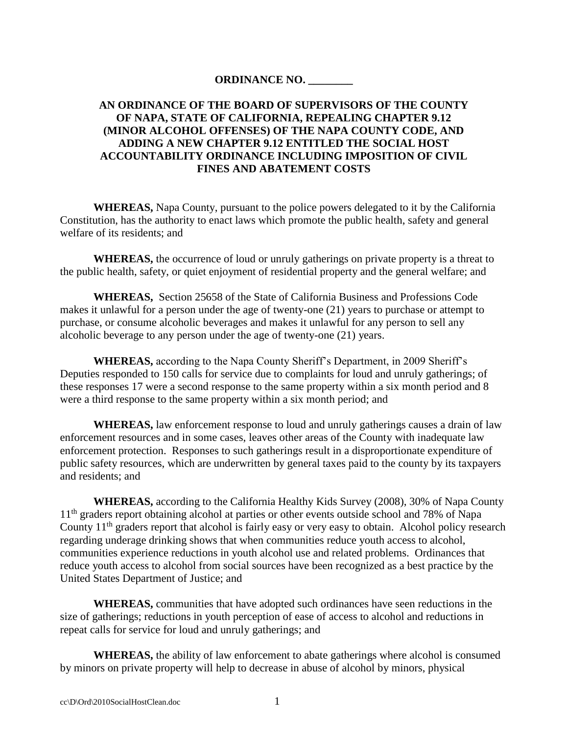#### **ORDINANCE NO. \_\_\_\_\_\_\_\_**

### **AN ORDINANCE OF THE BOARD OF SUPERVISORS OF THE COUNTY OF NAPA, STATE OF CALIFORNIA, REPEALING CHAPTER 9.12 (MINOR ALCOHOL OFFENSES) OF THE NAPA COUNTY CODE, AND ADDING A NEW CHAPTER 9.12 ENTITLED THE SOCIAL HOST ACCOUNTABILITY ORDINANCE INCLUDING IMPOSITION OF CIVIL FINES AND ABATEMENT COSTS**

**WHEREAS,** Napa County, pursuant to the police powers delegated to it by the California Constitution, has the authority to enact laws which promote the public health, safety and general welfare of its residents; and

**WHEREAS,** the occurrence of loud or unruly gatherings on private property is a threat to the public health, safety, or quiet enjoyment of residential property and the general welfare; and

**WHEREAS,** Section 25658 of the State of California Business and Professions Code makes it unlawful for a person under the age of twenty-one (21) years to purchase or attempt to purchase, or consume alcoholic beverages and makes it unlawful for any person to sell any alcoholic beverage to any person under the age of twenty-one (21) years.

**WHEREAS,** according to the Napa County Sheriff's Department, in 2009 Sheriff's Deputies responded to 150 calls for service due to complaints for loud and unruly gatherings; of these responses 17 were a second response to the same property within a six month period and 8 were a third response to the same property within a six month period; and

**WHEREAS,** law enforcement response to loud and unruly gatherings causes a drain of law enforcement resources and in some cases, leaves other areas of the County with inadequate law enforcement protection. Responses to such gatherings result in a disproportionate expenditure of public safety resources, which are underwritten by general taxes paid to the county by its taxpayers and residents; and

**WHEREAS,** according to the California Healthy Kids Survey (2008), 30% of Napa County 11<sup>th</sup> graders report obtaining alcohol at parties or other events outside school and 78% of Napa County  $11<sup>th</sup>$  graders report that alcohol is fairly easy or very easy to obtain. Alcohol policy research regarding underage drinking shows that when communities reduce youth access to alcohol, communities experience reductions in youth alcohol use and related problems. Ordinances that reduce youth access to alcohol from social sources have been recognized as a best practice by the United States Department of Justice; and

**WHEREAS,** communities that have adopted such ordinances have seen reductions in the size of gatherings; reductions in youth perception of ease of access to alcohol and reductions in repeat calls for service for loud and unruly gatherings; and

**WHEREAS,** the ability of law enforcement to abate gatherings where alcohol is consumed by minors on private property will help to decrease in abuse of alcohol by minors, physical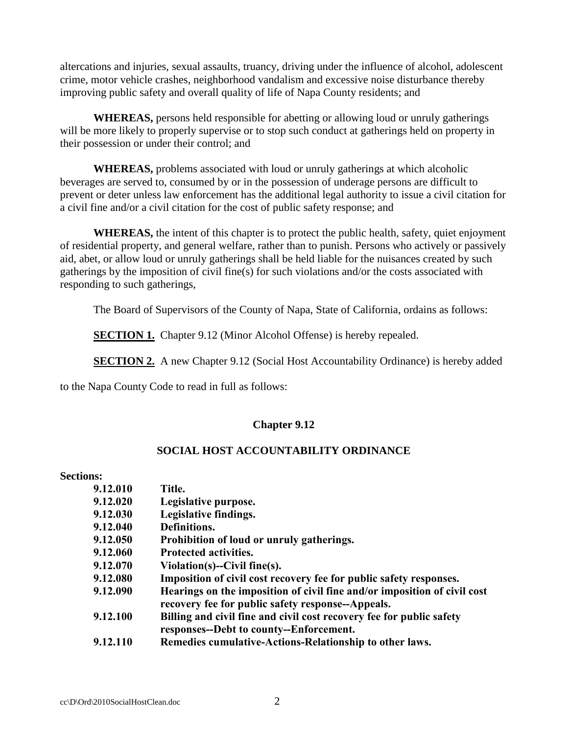altercations and injuries, sexual assaults, truancy, driving under the influence of alcohol, adolescent crime, motor vehicle crashes, neighborhood vandalism and excessive noise disturbance thereby improving public safety and overall quality of life of Napa County residents; and

**WHEREAS,** persons held responsible for abetting or allowing loud or unruly gatherings will be more likely to properly supervise or to stop such conduct at gatherings held on property in their possession or under their control; and

**WHEREAS,** problems associated with loud or unruly gatherings at which alcoholic beverages are served to, consumed by or in the possession of underage persons are difficult to prevent or deter unless law enforcement has the additional legal authority to issue a civil citation for a civil fine and/or a civil citation for the cost of public safety response; and

**WHEREAS,** the intent of this chapter is to protect the public health, safety, quiet enjoyment of residential property, and general welfare, rather than to punish. Persons who actively or passively aid, abet, or allow loud or unruly gatherings shall be held liable for the nuisances created by such gatherings by the imposition of civil fine(s) for such violations and/or the costs associated with responding to such gatherings,

The Board of Supervisors of the County of Napa, State of California, ordains as follows:

**SECTION 1.** Chapter 9.12 (Minor Alcohol Offense) is hereby repealed.

**SECTION 2.** A new Chapter 9.12 (Social Host Accountability Ordinance) is hereby added

to the Napa County Code to read in full as follows:

## **Chapter 9.12**

#### **SOCIAL HOST ACCOUNTABILITY ORDINANCE**

#### **Sections:**

| 9.12.010 | Title.                                                                                                                        |  |  |
|----------|-------------------------------------------------------------------------------------------------------------------------------|--|--|
| 9.12.020 | Legislative purpose.                                                                                                          |  |  |
| 9.12.030 | Legislative findings.                                                                                                         |  |  |
| 9.12.040 | Definitions.                                                                                                                  |  |  |
| 9.12.050 | Prohibition of loud or unruly gatherings.                                                                                     |  |  |
| 9.12.060 | <b>Protected activities.</b>                                                                                                  |  |  |
| 9.12.070 | Violation(s)--Civil fine(s).                                                                                                  |  |  |
| 9.12.080 | Imposition of civil cost recovery fee for public safety responses.                                                            |  |  |
| 9.12.090 | Hearings on the imposition of civil fine and/or imposition of civil cost<br>recovery fee for public safety response--Appeals. |  |  |
| 9.12.100 | Billing and civil fine and civil cost recovery fee for public safety<br>responses--Debt to county--Enforcement.               |  |  |
| 9.12.110 | Remedies cumulative-Actions-Relationship to other laws.                                                                       |  |  |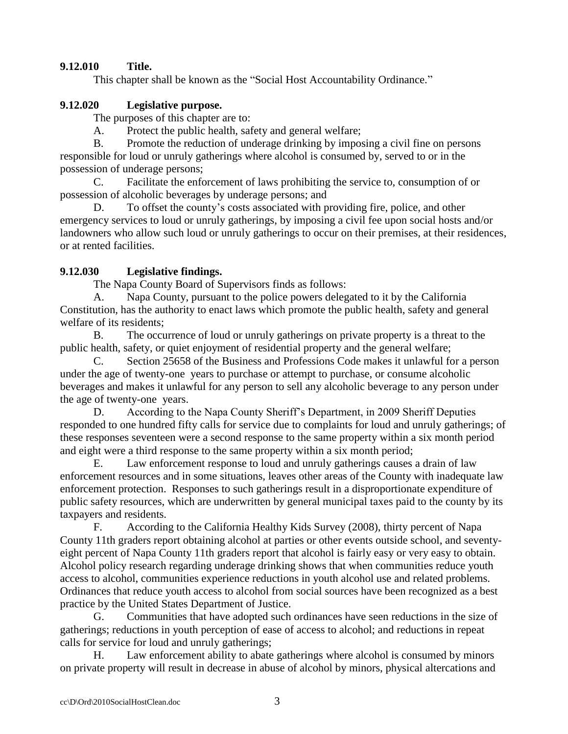# **9.12.010 Title.**

This chapter shall be known as the "Social Host Accountability Ordinance."

### **9.12.020 Legislative purpose.**

The purposes of this chapter are to:

A. Protect the public health, safety and general welfare;

B. Promote the reduction of underage drinking by imposing a civil fine on persons responsible for loud or unruly gatherings where alcohol is consumed by, served to or in the possession of underage persons;

C. Facilitate the enforcement of laws prohibiting the service to, consumption of or possession of alcoholic beverages by underage persons; and

D. To offset the county's costs associated with providing fire, police, and other emergency services to loud or unruly gatherings, by imposing a civil fee upon social hosts and/or landowners who allow such loud or unruly gatherings to occur on their premises, at their residences, or at rented facilities.

### **9.12.030 Legislative findings.**

The Napa County Board of Supervisors finds as follows:

A. Napa County, pursuant to the police powers delegated to it by the California Constitution, has the authority to enact laws which promote the public health, safety and general welfare of its residents;

B. The occurrence of loud or unruly gatherings on private property is a threat to the public health, safety, or quiet enjoyment of residential property and the general welfare;

C. Section 25658 of the Business and Professions Code makes it unlawful for a person under the age of twenty-one years to purchase or attempt to purchase, or consume alcoholic beverages and makes it unlawful for any person to sell any alcoholic beverage to any person under the age of twenty-one years.

D. According to the Napa County Sheriff's Department, in 2009 Sheriff Deputies responded to one hundred fifty calls for service due to complaints for loud and unruly gatherings; of these responses seventeen were a second response to the same property within a six month period and eight were a third response to the same property within a six month period;

E. Law enforcement response to loud and unruly gatherings causes a drain of law enforcement resources and in some situations, leaves other areas of the County with inadequate law enforcement protection. Responses to such gatherings result in a disproportionate expenditure of public safety resources, which are underwritten by general municipal taxes paid to the county by its taxpayers and residents.

F. According to the California Healthy Kids Survey (2008), thirty percent of Napa County 11th graders report obtaining alcohol at parties or other events outside school, and seventyeight percent of Napa County 11th graders report that alcohol is fairly easy or very easy to obtain. Alcohol policy research regarding underage drinking shows that when communities reduce youth access to alcohol, communities experience reductions in youth alcohol use and related problems. Ordinances that reduce youth access to alcohol from social sources have been recognized as a best practice by the United States Department of Justice.

G. Communities that have adopted such ordinances have seen reductions in the size of gatherings; reductions in youth perception of ease of access to alcohol; and reductions in repeat calls for service for loud and unruly gatherings;

H. Law enforcement ability to abate gatherings where alcohol is consumed by minors on private property will result in decrease in abuse of alcohol by minors, physical altercations and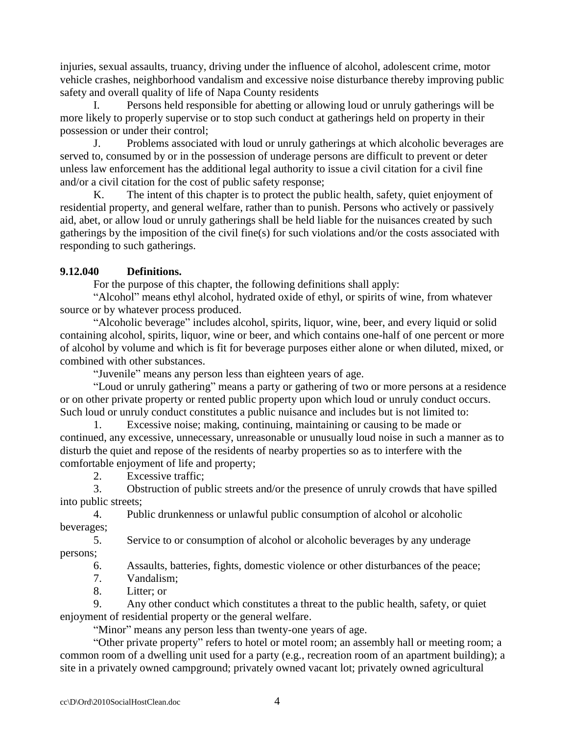injuries, sexual assaults, truancy, driving under the influence of alcohol, adolescent crime, motor vehicle crashes, neighborhood vandalism and excessive noise disturbance thereby improving public safety and overall quality of life of Napa County residents

Persons held responsible for abetting or allowing loud or unruly gatherings will be more likely to properly supervise or to stop such conduct at gatherings held on property in their possession or under their control;

J. Problems associated with loud or unruly gatherings at which alcoholic beverages are served to, consumed by or in the possession of underage persons are difficult to prevent or deter unless law enforcement has the additional legal authority to issue a civil citation for a civil fine and/or a civil citation for the cost of public safety response;

K. The intent of this chapter is to protect the public health, safety, quiet enjoyment of residential property, and general welfare, rather than to punish. Persons who actively or passively aid, abet, or allow loud or unruly gatherings shall be held liable for the nuisances created by such gatherings by the imposition of the civil fine(s) for such violations and/or the costs associated with responding to such gatherings.

# **9.12.040 Definitions.**

For the purpose of this chapter, the following definitions shall apply:

"Alcohol" means ethyl alcohol, hydrated oxide of ethyl, or spirits of wine, from whatever source or by whatever process produced.

"Alcoholic beverage" includes alcohol, spirits, liquor, wine, beer, and every liquid or solid containing alcohol, spirits, liquor, wine or beer, and which contains one-half of one percent or more of alcohol by volume and which is fit for beverage purposes either alone or when diluted, mixed, or combined with other substances.

"Juvenile" means any person less than eighteen years of age.

"Loud or unruly gathering" means a party or gathering of two or more persons at a residence or on other private property or rented public property upon which loud or unruly conduct occurs. Such loud or unruly conduct constitutes a public nuisance and includes but is not limited to:

Excessive noise; making, continuing, maintaining or causing to be made or continued, any excessive, unnecessary, unreasonable or unusually loud noise in such a manner as to disturb the quiet and repose of the residents of nearby properties so as to interfere with the comfortable enjoyment of life and property;

2. Excessive traffic;

3. Obstruction of public streets and/or the presence of unruly crowds that have spilled into public streets;

4. Public drunkenness or unlawful public consumption of alcohol or alcoholic beverages;

5. Service to or consumption of alcohol or alcoholic beverages by any underage persons;

6. Assaults, batteries, fights, domestic violence or other disturbances of the peace;

- 7. Vandalism;
- 8. Litter; or

9. Any other conduct which constitutes a threat to the public health, safety, or quiet enjoyment of residential property or the general welfare.

"Minor" means any person less than twenty-one years of age.

"Other private property" refers to hotel or motel room; an assembly hall or meeting room; a common room of a dwelling unit used for a party (e.g., recreation room of an apartment building); a site in a privately owned campground; privately owned vacant lot; privately owned agricultural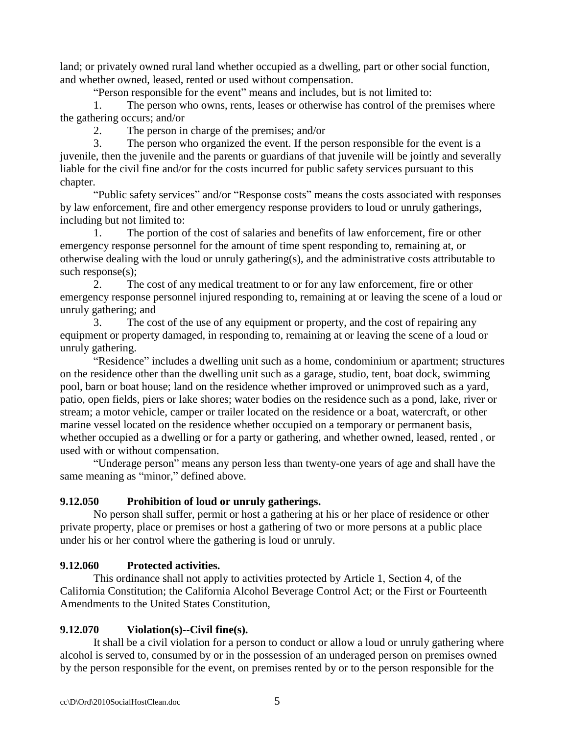land; or privately owned rural land whether occupied as a dwelling, part or other social function, and whether owned, leased, rented or used without compensation.

"Person responsible for the event" means and includes, but is not limited to:

1. The person who owns, rents, leases or otherwise has control of the premises where the gathering occurs; and/or

2. The person in charge of the premises; and/or

3. The person who organized the event. If the person responsible for the event is a juvenile, then the juvenile and the parents or guardians of that juvenile will be jointly and severally liable for the civil fine and/or for the costs incurred for public safety services pursuant to this chapter.

"Public safety services" and/or "Response costs" means the costs associated with responses by law enforcement, fire and other emergency response providers to loud or unruly gatherings, including but not limited to:

1. The portion of the cost of salaries and benefits of law enforcement, fire or other emergency response personnel for the amount of time spent responding to, remaining at, or otherwise dealing with the loud or unruly gathering(s), and the administrative costs attributable to such response(s);

2. The cost of any medical treatment to or for any law enforcement, fire or other emergency response personnel injured responding to, remaining at or leaving the scene of a loud or unruly gathering; and

3. The cost of the use of any equipment or property, and the cost of repairing any equipment or property damaged, in responding to, remaining at or leaving the scene of a loud or unruly gathering.

"Residence" includes a dwelling unit such as a home, condominium or apartment; structures on the residence other than the dwelling unit such as a garage, studio, tent, boat dock, swimming pool, barn or boat house; land on the residence whether improved or unimproved such as a yard, patio, open fields, piers or lake shores; water bodies on the residence such as a pond, lake, river or stream; a motor vehicle, camper or trailer located on the residence or a boat, watercraft, or other marine vessel located on the residence whether occupied on a temporary or permanent basis, whether occupied as a dwelling or for a party or gathering, and whether owned, leased, rented , or used with or without compensation.

"Underage person" means any person less than twenty-one years of age and shall have the same meaning as "minor," defined above.

## **9.12.050 Prohibition of loud or unruly gatherings.**

No person shall suffer, permit or host a gathering at his or her place of residence or other private property, place or premises or host a gathering of two or more persons at a public place under his or her control where the gathering is loud or unruly.

## **9.12.060 Protected activities.**

This ordinance shall not apply to activities protected by Article 1, Section 4, of the California Constitution; the California Alcohol Beverage Control Act; or the First or Fourteenth Amendments to the United States Constitution,

## **9.12.070 Violation(s)--Civil fine(s).**

It shall be a civil violation for a person to conduct or allow a loud or unruly gathering where alcohol is served to, consumed by or in the possession of an underaged person on premises owned by the person responsible for the event, on premises rented by or to the person responsible for the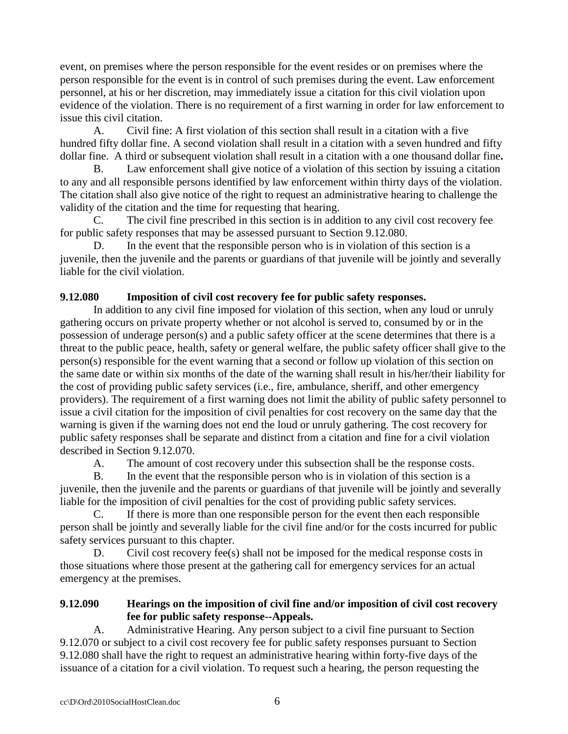event, on premises where the person responsible for the event resides or on premises where the person responsible for the event is in control of such premises during the event. Law enforcement personnel, at his or her discretion, may immediately issue a citation for this civil violation upon evidence of the violation. There is no requirement of a first warning in order for law enforcement to issue this civil citation.

A. Civil fine: A first violation of this section shall result in a citation with a five hundred fifty dollar fine. A second violation shall result in a citation with a seven hundred and fifty dollar fine. A third or subsequent violation shall result in a citation with a one thousand dollar fine**.**

Law enforcement shall give notice of a violation of this section by issuing a citation to any and all responsible persons identified by law enforcement within thirty days of the violation. The citation shall also give notice of the right to request an administrative hearing to challenge the validity of the citation and the time for requesting that hearing.

C. The civil fine prescribed in this section is in addition to any civil cost recovery fee for public safety responses that may be assessed pursuant to Section 9.12.080.

D. In the event that the responsible person who is in violation of this section is a juvenile, then the juvenile and the parents or guardians of that juvenile will be jointly and severally liable for the civil violation.

# **9.12.080 Imposition of civil cost recovery fee for public safety responses.**

In addition to any civil fine imposed for violation of this section, when any loud or unruly gathering occurs on private property whether or not alcohol is served to, consumed by or in the possession of underage person(s) and a public safety officer at the scene determines that there is a threat to the public peace, health, safety or general welfare, the public safety officer shall give to the person(s) responsible for the event warning that a second or follow up violation of this section on the same date or within six months of the date of the warning shall result in his/her/their liability for the cost of providing public safety services (i.e., fire, ambulance, sheriff, and other emergency providers). The requirement of a first warning does not limit the ability of public safety personnel to issue a civil citation for the imposition of civil penalties for cost recovery on the same day that the warning is given if the warning does not end the loud or unruly gathering. The cost recovery for public safety responses shall be separate and distinct from a citation and fine for a civil violation described in Section 9.12.070.

A. The amount of cost recovery under this subsection shall be the response costs.

B. In the event that the responsible person who is in violation of this section is a juvenile, then the juvenile and the parents or guardians of that juvenile will be jointly and severally liable for the imposition of civil penalties for the cost of providing public safety services.

C. If there is more than one responsible person for the event then each responsible person shall be jointly and severally liable for the civil fine and/or for the costs incurred for public safety services pursuant to this chapter.

D. Civil cost recovery fee(s) shall not be imposed for the medical response costs in those situations where those present at the gathering call for emergency services for an actual emergency at the premises.

# **9.12.090 Hearings on the imposition of civil fine and/or imposition of civil cost recovery fee for public safety response--Appeals.**

A. Administrative Hearing. Any person subject to a civil fine pursuant to Section 9.12.070 or subject to a civil cost recovery fee for public safety responses pursuant to Section 9.12.080 shall have the right to request an administrative hearing within forty-five days of the issuance of a citation for a civil violation. To request such a hearing, the person requesting the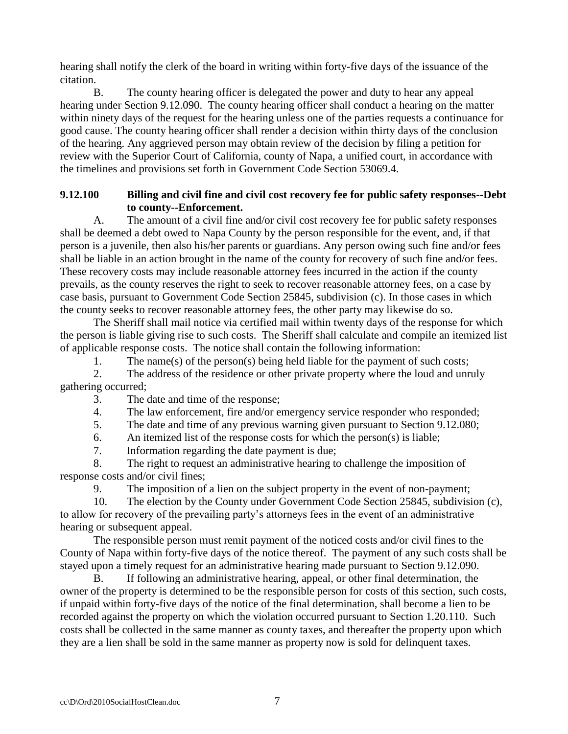hearing shall notify the clerk of the board in writing within forty-five days of the issuance of the citation.

B. The county hearing officer is delegated the power and duty to hear any appeal hearing under Section 9.12.090. The county hearing officer shall conduct a hearing on the matter within ninety days of the request for the hearing unless one of the parties requests a continuance for good cause. The county hearing officer shall render a decision within thirty days of the conclusion of the hearing. Any aggrieved person may obtain review of the decision by filing a petition for review with the Superior Court of California, county of Napa, a unified court, in accordance with the timelines and provisions set forth in Government Code Section 53069.4.

# **9.12.100 Billing and civil fine and civil cost recovery fee for public safety responses--Debt to county--Enforcement.**

A. The amount of a civil fine and/or civil cost recovery fee for public safety responses shall be deemed a debt owed to Napa County by the person responsible for the event, and, if that person is a juvenile, then also his/her parents or guardians. Any person owing such fine and/or fees shall be liable in an action brought in the name of the county for recovery of such fine and/or fees. These recovery costs may include reasonable attorney fees incurred in the action if the county prevails, as the county reserves the right to seek to recover reasonable attorney fees, on a case by case basis, pursuant to Government Code Section 25845, subdivision (c). In those cases in which the county seeks to recover reasonable attorney fees, the other party may likewise do so.

The Sheriff shall mail notice via certified mail within twenty days of the response for which the person is liable giving rise to such costs. The Sheriff shall calculate and compile an itemized list of applicable response costs. The notice shall contain the following information:

1. The name(s) of the person(s) being held liable for the payment of such costs;

2. The address of the residence or other private property where the loud and unruly gathering occurred;

3. The date and time of the response;

4. The law enforcement, fire and/or emergency service responder who responded;

5. The date and time of any previous warning given pursuant to Section 9.12.080;

6. An itemized list of the response costs for which the person(s) is liable;

7. Information regarding the date payment is due;

8. The right to request an administrative hearing to challenge the imposition of response costs and/or civil fines;

9. The imposition of a lien on the subject property in the event of non-payment;

10. The election by the County under Government Code Section 25845, subdivision (c), to allow for recovery of the prevailing party's attorneys fees in the event of an administrative hearing or subsequent appeal.

The responsible person must remit payment of the noticed costs and/or civil fines to the County of Napa within forty-five days of the notice thereof. The payment of any such costs shall be stayed upon a timely request for an administrative hearing made pursuant to Section 9.12.090.

B. If following an administrative hearing, appeal, or other final determination, the owner of the property is determined to be the responsible person for costs of this section, such costs, if unpaid within forty-five days of the notice of the final determination, shall become a lien to be recorded against the property on which the violation occurred pursuant to Section 1.20.110. Such costs shall be collected in the same manner as county taxes, and thereafter the property upon which they are a lien shall be sold in the same manner as property now is sold for delinquent taxes.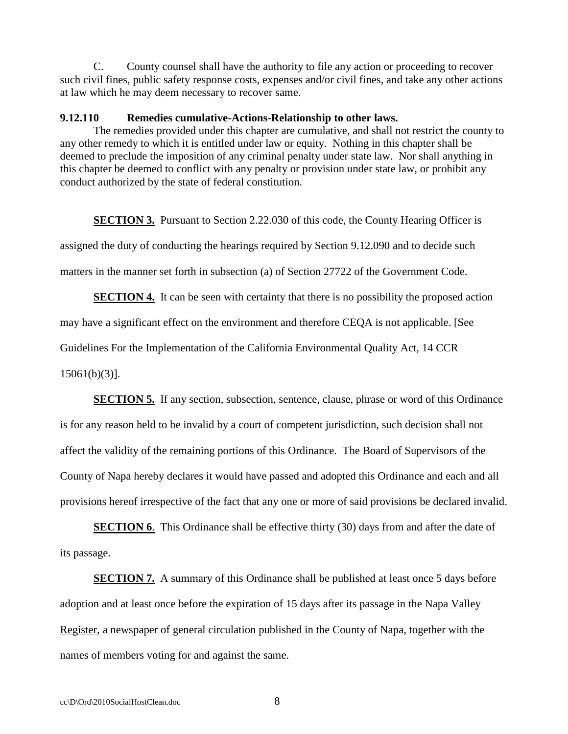C. County counsel shall have the authority to file any action or proceeding to recover such civil fines, public safety response costs, expenses and/or civil fines, and take any other actions at law which he may deem necessary to recover same.

#### **9.12.110 Remedies cumulative-Actions-Relationship to other laws.**

The remedies provided under this chapter are cumulative, and shall not restrict the county to any other remedy to which it is entitled under law or equity. Nothing in this chapter shall be deemed to preclude the imposition of any criminal penalty under state law. Nor shall anything in this chapter be deemed to conflict with any penalty or provision under state law, or prohibit any conduct authorized by the state of federal constitution.

**SECTION 3.** Pursuant to Section 2.22.030 of this code, the County Hearing Officer is assigned the duty of conducting the hearings required by Section 9.12.090 and to decide such matters in the manner set forth in subsection (a) of Section 27722 of the Government Code.

**SECTION 4.** It can be seen with certainty that there is no possibility the proposed action may have a significant effect on the environment and therefore CEQA is not applicable. [See Guidelines For the Implementation of the California Environmental Quality Act, 14 CCR 15061(b)(3)].

**SECTION 5.** If any section, subsection, sentence, clause, phrase or word of this Ordinance is for any reason held to be invalid by a court of competent jurisdiction, such decision shall not affect the validity of the remaining portions of this Ordinance. The Board of Supervisors of the County of Napa hereby declares it would have passed and adopted this Ordinance and each and all provisions hereof irrespective of the fact that any one or more of said provisions be declared invalid.

**SECTION 6.** This Ordinance shall be effective thirty (30) days from and after the date of its passage.

**SECTION 7.** A summary of this Ordinance shall be published at least once 5 days before adoption and at least once before the expiration of 15 days after its passage in the Napa Valley Register, a newspaper of general circulation published in the County of Napa, together with the names of members voting for and against the same.